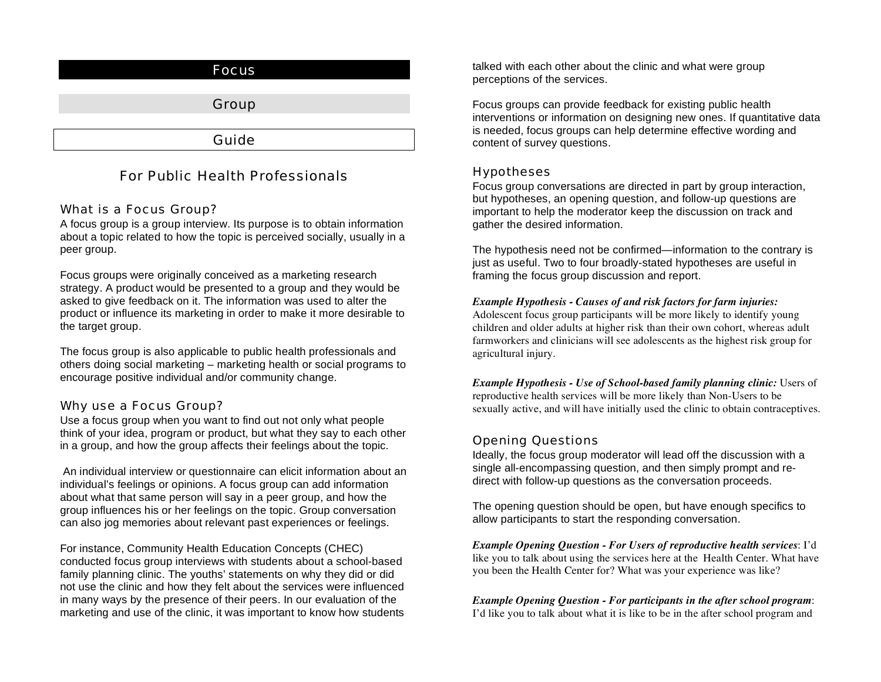

# For Public Health Professionals

## What is a Focus Group?

A focus group is a group interview. Its purpose is to obtain information about a topic related to how the topic is perceived socially, usually in a peer group.

Focus groups were originally conceived as a marketing research strategy. A product would be presented to a group and they would be asked to give feedback on it. The information was used to alter the product or influence its marketing in order to make it more desirable to the target group.

The focus group is also applicable to public health professionals and others doing social marketing – marketing health or social programs to encourage positive individual and/or community change.

## Why use a Focus Group?

Use a focus group when you want to find out not only what people think of your idea, program or product, but what they say to each other in a group, and how the group affects their feelings about the topic.

 An individual interview or questionnaire can elicit information about an individual's feelings or opinions. A focus group can add information about what that same person will say in a peer group, and how the group influences his or her feelings on the topic. Group conversation can also jog memories about relevant past experiences or feelings.

For instance, Community Health Education Concepts (CHEC) conducted focus group interviews with students about a school-based family planning clinic. The youths' statements on why they did or did not use the clinic and how they felt about the services were influenced in many ways by the presence of their peers. In our evaluation of the marketing and use of the clinic, it was important to know how students

talked with each other about the clinic and what were group perceptions of the services.

Focus groups can provide feedback for existing public health interventions or information on designing new ones. If quantitative data is needed, focus groups can help determine effective wording and content of survey questions.

## Hypotheses

Focus group conversations are directed in part by group interaction, but hypotheses, an opening question, and follow-up questions are important to help the moderator keep the discussion on track and gather the desired information.

The hypothesis need not be confirmed—information to the contrary is just as useful. Two to four broadly-stated hypotheses are useful in framing the focus group discussion and report.

### *Example Hypothesis - Causes of and risk factors for farm injuries:*

Adolescent focus group participants will be more likely to identify young children and older adults at higher risk than their own cohort, whereas adult farmworkers and clinicians will see adolescents as the highest risk group for agricultural injury.

*Example Hypothesis - Use of School-based family planning clinic:* Users of reproductive health services will be more likely than Non-Users to be sexually active, and will have initially used the clinic to obtain contraceptives.

## Opening Questions

Ideally, the focus group moderator will lead off the discussion with a single all-encompassing question, and then simply prompt and redirect with follow-up questions as the conversation proceeds.

The opening question should be open, but have enough specifics to allow participants to start the responding conversation.

*Example Opening Question - For Users of reproductive health services*: I'd like you to talk about using the services here at the Health Center. What have you been the Health Center for? What was your experience was like?

#### *Example Opening Question - For participants in the after school program*: I'd like you to talk about what it is like to be in the after school program and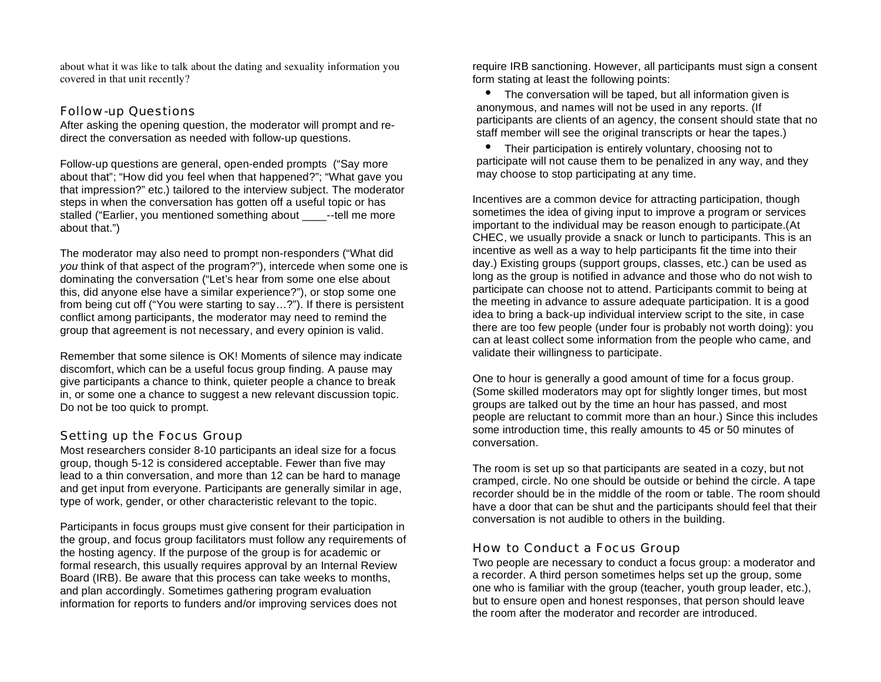about what it was like to talk about the dating and sexuality information you covered in that unit recently?

## Follow-up Questions

After asking the opening question, the moderator will prompt and redirect the conversation as needed with follow-up questions.

Follow-up questions are general, open-ended prompts ("Say more about that"; "How did you feel when that happened?"; "What gave you that impression?" etc.) tailored to the interview subject. The moderator steps in when the conversation has gotten off a useful topic or has stalled ("Earlier, you mentioned something about ---tell me more about that.")

The moderator may also need to prompt non-responders ("What did *you* think of that aspect of the program?"), intercede when some one is dominating the conversation ("Let's hear from some one else about this, did anyone else have a similar experience?"), or stop some one from being cut off ("You were starting to say…?"). If there is persistent conflict among participants, the moderator may need to remind the group that agreement is not necessary, and every opinion is valid.

Remember that some silence is OK! Moments of silence may indicate discomfort, which can be a useful focus group finding. A pause may give participants a chance to think, quieter people a chance to break in, or some one a chance to suggest a new relevant discussion topic. Do not be too quick to prompt.

# Setting up the Focus Group

Most researchers consider 8-10 participants an ideal size for a focus group, though 5-12 is considered acceptable. Fewer than five may lead to a thin conversation, and more than 12 can be hard to manage and get input from everyone. Participants are generally similar in age, type of work, gender, or other characteristic relevant to the topic.

Participants in focus groups must give consent for their participation in the group, and focus group facilitators must follow any requirements of the hosting agency. If the purpose of the group is for academic or formal research, this usually requires approval by an Internal Review Board (IRB). Be aware that this process can take weeks to months, and plan accordingly. Sometimes gathering program evaluation information for reports to funders and/or improving services does not

require IRB sanctioning. However, all participants must sign a consent form stating at least the following points:

• The conversation will be taped, but all information given is anonymous, and names will not be used in any reports. (If participants are clients of an agency, the consent should state that no staff member will see the original transcripts or hear the tapes.)

• Their participation is entirely voluntary, choosing not to participate will not cause them to be penalized in any way, and they may choose to stop participating at any time.

Incentives are a common device for attracting participation, though sometimes the idea of giving input to improve a program or services important to the individual may be reason enough to participate.(At CHEC, we usually provide a snack or lunch to participants. This is an incentive as well as a way to help participants fit the time into their day.) Existing groups (support groups, classes, etc.) can be used as long as the group is notified in advance and those who do not wish to participate can choose not to attend. Participants commit to being at the meeting in advance to assure adequate participation. It is a good idea to bring a back-up individual interview script to the site, in case there are too few people (under four is probably not worth doing): you can at least collect some information from the people who came, and validate their willingness to participate.

One to hour is generally a good amount of time for a focus group. (Some skilled moderators may opt for slightly longer times, but most groups are talked out by the time an hour has passed, and most people are reluctant to commit more than an hour.) Since this includes some introduction time, this really amounts to 45 or 50 minutes of conversation.

The room is set up so that participants are seated in a cozy, but not cramped, circle. No one should be outside or behind the circle. A tape recorder should be in the middle of the room or table. The room should have a door that can be shut and the participants should feel that their conversation is not audible to others in the building.

## How to Conduct a Focus Group

Two people are necessary to conduct a focus group: a moderator and a recorder. A third person sometimes helps set up the group, some one who is familiar with the group (teacher, youth group leader, etc.), but to ensure open and honest responses, that person should leave the room after the moderator and recorder are introduced.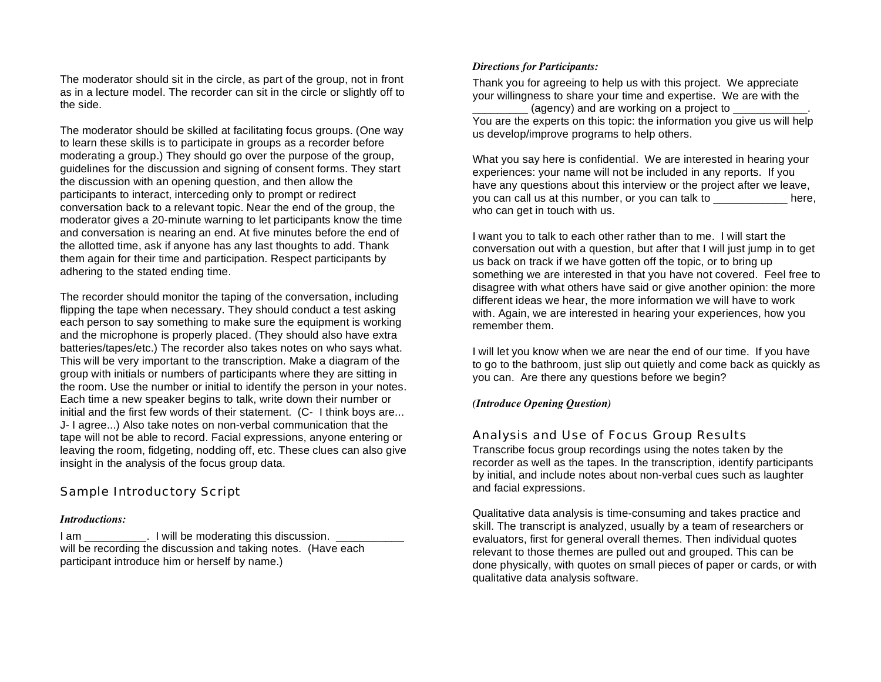The moderator should sit in the circle, as part of the group, not in front as in a lecture model. The recorder can sit in the circle or slightly off to the side.

The moderator should be skilled at facilitating focus groups. (One way to learn these skills is to participate in groups as a recorder before moderating a group.) They should go over the purpose of the group, guidelines for the discussion and signing of consent forms. They start the discussion with an opening question, and then allow the participants to interact, interceding only to prompt or redirect conversation back to a relevant topic. Near the end of the group, the moderator gives a 20-minute warning to let participants know the time and conversation is nearing an end. At five minutes before the end of the allotted time, ask if anyone has any last thoughts to add. Thank them again for their time and participation. Respect participants by adhering to the stated ending time.

The recorder should monitor the taping of the conversation, including flipping the tape when necessary. They should conduct a test asking each person to say something to make sure the equipment is working and the microphone is properly placed. (They should also have extra batteries/tapes/etc.) The recorder also takes notes on who says what. This will be very important to the transcription. Make a diagram of the group with initials or numbers of participants where they are sitting in the room. Use the number or initial to identify the person in your notes. Each time a new speaker begins to talk, write down their number or initial and the first few words of their statement. (C- I think boys are... J- I agree...) Also take notes on non-verbal communication that the tape will not be able to record. Facial expressions, anyone entering or leaving the room, fidgeting, nodding off, etc. These clues can also give insight in the analysis of the focus group data.

### Sample Introductory Script

#### *Introductions:*

I am Fig. 1 will be moderating this discussion. will be recording the discussion and taking notes. (Have each participant introduce him or herself by name.)

#### *Directions for Participants:*

Thank you for agreeing to help us with this project. We appreciate your willingness to share your time and expertise. We are with the (agency) and are working on a project to You are the experts on this topic: the information you give us will help us develop/improve programs to help others.

What you say here is confidential. We are interested in hearing your experiences: your name will not be included in any reports. If you have any questions about this interview or the project after we leave, you can call us at this number, or you can talk to \_\_\_\_\_\_\_\_\_\_\_\_\_ here, who can get in touch with us.

I want you to talk to each other rather than to me. I will start the conversation out with a question, but after that I will just jump in to get us back on track if we have gotten off the topic, or to bring up something we are interested in that you have not covered. Feel free to disagree with what others have said or give another opinion: the more different ideas we hear, the more information we will have to work with. Again, we are interested in hearing your experiences, how you remember them.

I will let you know when we are near the end of our time. If you have to go to the bathroom, just slip out quietly and come back as quickly as you can. Are there any questions before we begin?

#### *(Introduce Opening Question)*

### Analysis and Use of Focus Group Results

Transcribe focus group recordings using the notes taken by the recorder as well as the tapes. In the transcription, identify participants by initial, and include notes about non-verbal cues such as laughter and facial expressions.

Qualitative data analysis is time-consuming and takes practice and skill. The transcript is analyzed, usually by a team of researchers or evaluators, first for general overall themes. Then individual quotes relevant to those themes are pulled out and grouped. This can be done physically, with quotes on small pieces of paper or cards, or with qualitative data analysis software.